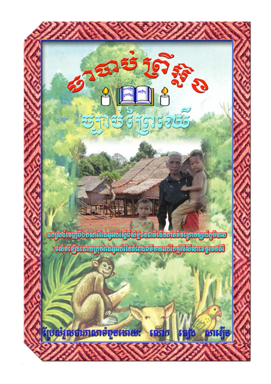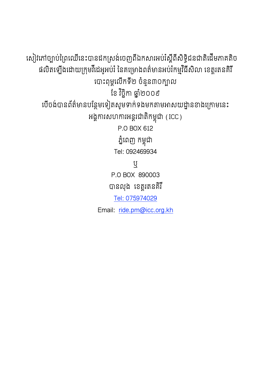សៀវភៅច្បាប់ព្រៃឈើនេះបានដកស្រង់ចេញពីឯកសារអប់រំស្តីពីសិទ្ធិជនជាតិដើមភាគតិច ផលិតឡើងដោយក្រុមវីដេអូអប់រំ នៃគម្រោងពត៌មានអប់រំកម្មវិធីសិលា ខេត្តរតនគិរី បោះពុម្ពលើកទី២ ចំនួន៣០ក្បាល ខែ វិចិកា ឆាំ២០០៩ បើចង់បានព័ត៌មានបន្ថែមទៀតសូមទាក់ទងមកតាមអាសយដ្នានខាងក្រោមនេះ អង្គការសហការអន្តរជាតិកម្ពុជា (ICC) P O BOX 612 ភ្នំពេញ កម្ពុជា Tel: 092469934 ឬ P.O BOX 890003 បានលុង ខេត្តរតនគិរី Tel: 075974029 Email: ride.pm@icc.org.kh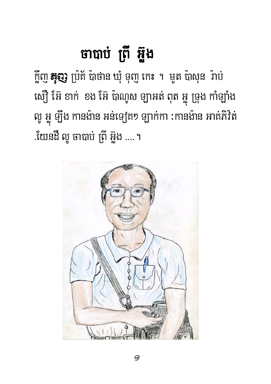## ចាបាប់ ព្រី អ៊ួង

ក្តីញូ **នុញូ** ប្រ័ត័ ប៉ាថាន ឃុំ ទុញូ កេះ ។ មូត ប៉ាសុន រ៉ាប់ ស្យ៊ើ អ៊ែ ខាក់ ខង អ៊ែ ប៉ាណូស ឡាអត់ ពុត អ្នូ ទ្រុង កាំឡាំង លូ អ្ហូ ឡឹង កានង៉ាន អន់ទ្យេិត១ ឡាក់កា :កានង៉ាន អាត់ភិវិត .យែនដឺ លូ ចាបាប់ ព្រី អ៊្លូង ....។

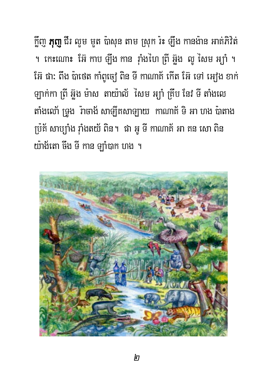ក្លិញ **ភុញ្** ជីរ លួម មួត ប៉ាសុន តាម ស្រុក រ៉ះ ឡឹង កានង៉ាន អាគ់ភិវិត ។ កេះណោះ អ៊ែ កាប ឡឹង កាន រ៉ាំងហៃ ព្រី អ៊ួង លូ សៃម អ្យ៉ា ។ អ៊ែរ ផា: ពឹង ប៉ាថេត កាំពូច្យៀ ពិន ទី កាណាត៍ កើត អ៊ែរ ទៅ អៀង ខាក់ ឡាក់កា ព្រី អ៊ួង ម៉ាស តាយ៉ាល័ សៃម អ្យ៉ា គ្រីប នៃវ ទី តាំងលេ តាំងលោ័ ទ្រូង រ៉ាចាង័ សាឡិកសាឡាយ កាណាត័ ទិ អា ហង ប៉ាតាង ប្រ៊ុត័ សាប្ប៉ាំង រ៉ាំងតយ័ ពិន។ ផា អូ ទី កាណាត័ អា គន សោ ពិន យ៉ាង័តោ ចឹង ទី កាន ឡាំបាក ហង ។

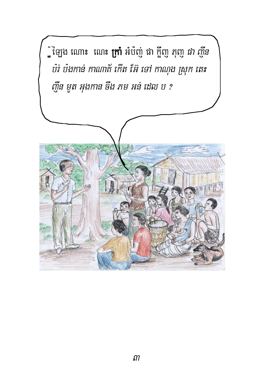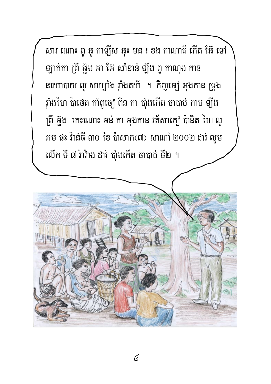សារ ណោះ ពូ អូ កាឡីស អុះ មន ! ខង កាណាត់ កើត អ៊ែ ទៅ ឡាក់កា ព្រី អ៊ួង អា អ៊ែ សាំខាន់ ឡឹង ពូ កាណុង កាន នយោបាយ លូ សាប្បាំង រ៉ាំងតយ័ ។ កិញ្ចុអ្យេ អុងកាន ទ្រុង វ៉ាំងហៃ ប៉ាថេត កាំពូច្យៀ ពិន កា ប៉ាំងកើត ចាបាប់ កាប ឡឹង ព្រី អ៊ួង កេះណោះ អន់ កា អុងកាន រត័សាភ្យៅ ប៉ានិត ហៃ លូ ភម ផះ វ៉ាន់ធី ៣០ ខៃ ប៉ាសាកលេ) សាណាំ ២០០២ ដារ លួម លើក ទី ៨ រ៉ាវ៉ាង ដារ បាំងកើត ចាបាប់ ទី២ ។

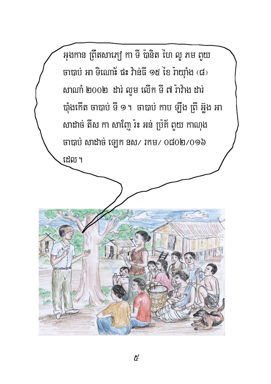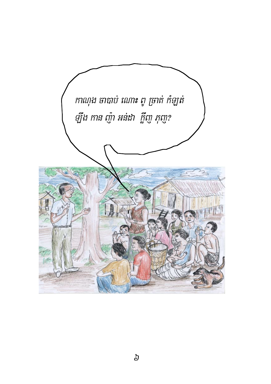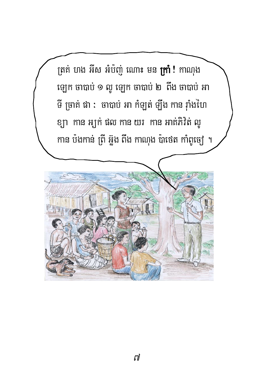ត្រគ់ ហង អីស អំប៉ញ់ ណោះ មន **ក្រាំ !** កាណុង ឡេក ចាបាប់ ១ លូ ឡេក ចាបាប់ ២ ពឹង ចាបាប់ អា ទី ច្រាត់ ផា : ចាបាប់ អា កំឡត់ ឡឹង កាន រ៉ាំងហៃ ខ្យា កាន អ្យក់ ផល កាន យរ កាន អាត់ភិវិត លួ កាន ប៉ងកាន់ ព្រី អ៊ួង ពីង កាណុង ប៉ាថេត កាំពូច្យេ ។

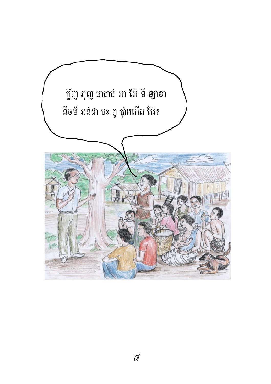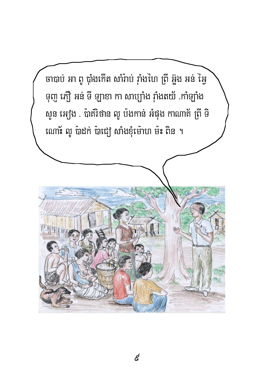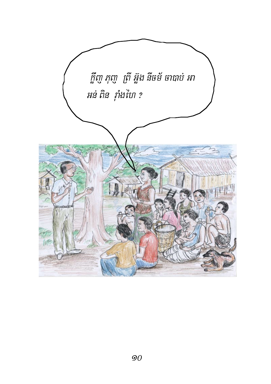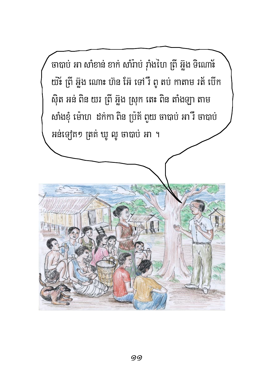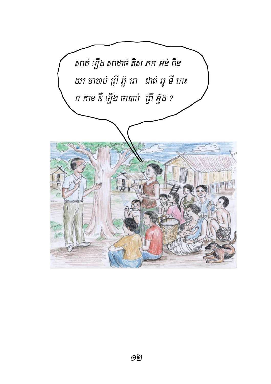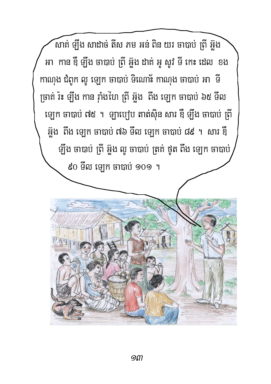សាគ់ ឡឹង សាដាច់ តីស ភម អន់ ពិន យរ ចាបាប់ ព្រី អ៊ូង អា កាន ឌឺ ឡឹង ចាបាប់ ព្រី អ៊ួង ដាត់ អូ សូវ ទី កេះ ដេល ខង កាណុង ជំពូក លូ ឡេក ចាបាប់ ទិណោ៖ កាណុង ចាបាប់ អា ទី ច្រាត់ រ៉ះ ឡឹង កាន រ៉ាំងហៃ ព្រី អ៊ួង ពឹង ឡេក ចាបាប់ ៦៥ ទីល ឡេក ចាបាប់ ៧៥ ។ ឡាប្បៅប តាត់ស៊ិន សារ ឌឺ ឡឹង ចាបាប់ ព្រី អ៊្លុង ពីង ឡេក ចាបាប់ ៧៦ ទីល ឡេក ចាបាប់ ៨៩ ។ សារ ឌឹ ឡឹង ចាបាប់ ព្រី អ៊ូង លូ ចាបាប់ ត្រគ់ ថូត ពឹង ឡេក ចាបាប់  $60$  ទីល ឡេក ចាបាប់ ១០១ ។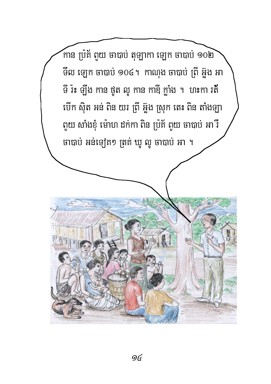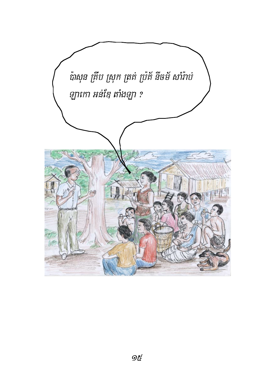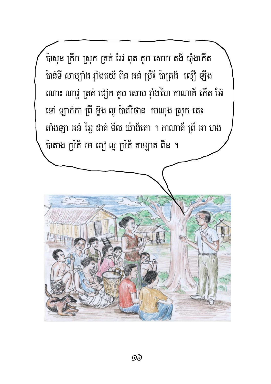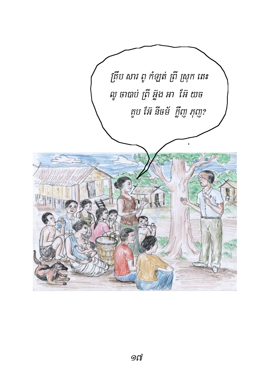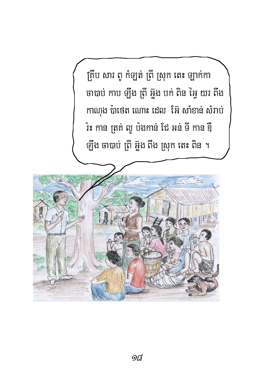គ្រីប សារ ពូ កំឡត់ ព្រី ស្រុក តេះ ឡាក់កា ចាបាប់ កាប ឡឹង ព្រី អ៊ួង បក់ ពិន អ្វៃ យរ ពឹង កាណុង ប៉ាថេត ណោះ ដេល អ៊ែ សាំខាន់ សំរាប់ រ៉ះ កាន ត្រគ់ លូ ប៉ងកាន់ ជៃ អន់ ទី កាន ឌឺ ឡឹង ចាបាប់ ព្រី អ៊ួង ពីង ស្រុក តេះ ពិន ។

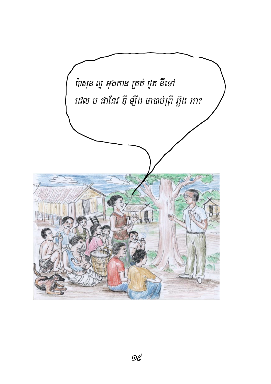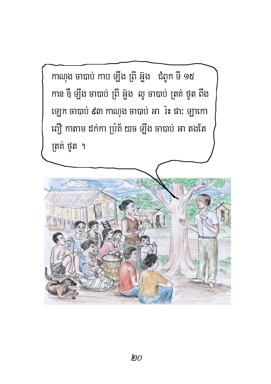កាណុង ចាបាប់ កាប ឡឹង ព្រី អ៊ួង ជំពូក ទី ១៥ កាន ឌឺ ឡឹង ចាបាប់ ព្រី អ៊ួង លូ ចាបាប់ ត្រគ់ ថូត ពឹង ឡេក ចាបាប់ ៩៣ កាណុង ចាបាប់ អា<sup>៉</sup>រះ ផា: ឡាកោ ញ្ជើ កាតាម ដក់កា ប្រគ័ យច ឡឹង ចាបាប់ អា តងតែ ត្រគំ ថូត ។

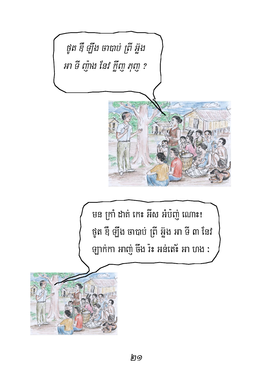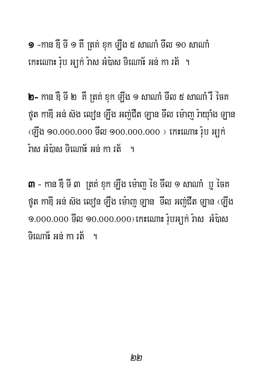$\overline{\bullet}$  -កាន ខ្ញី ទី ១ គឺ ត្រគ់ ខុក ទ្យីង ៥ សាណាំ ទីល ១០ សាណាំ កោះណោះ រ៉ុប អ្យក់ រ៉ាស អំប៉ាស ទិណោះ អន់ កា រត់ ។

**២–** កាន ទឺ ទី ២ គឺ ត្រគ់ ខុក ឡឹង ១ សាណាំ ទីល ៥ សាណាំ រឺ ចៃគ ថួត កាឌី អន់ ស៊ង ល្យៀន ឡឹង អញ់ជីត ឡាន ទីល ម៉ោញ រ៉ាយ៉ាំង ឡាន  $\overline{C}$ ឡើង 90.000.000 មីល 900.000.000 ) កេះណោះ រ៉ុប អ្យក់ .<br>វ៉ាតា អំពាតា ឝិណោខ៍ អន់ កា រត់ ។

 $\mathsf m$  - កាន ឌឺ ទី ៣ ត្រគ់ ខុក ឡឹង ម៉ោញូ ខៃ ទីល ១ សាណាំ ប្ញូ ថៃគ ថួត កាឌី អន់ ស៊ង ល្យ៉េន ឡឹង ម៉ោញ ឡាន ទីល អញ់ជីត ឡាន ‹ឡឹង ១.000.000 ទីល ១០.000.000) កេះណោះ រ៉ុបអ្យក់ រ៉ាស អំប៉ាស ិលោខ័ អន់ កា រត់ ។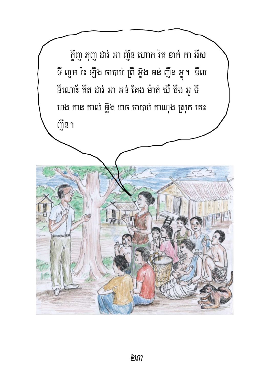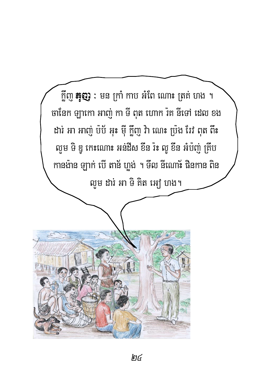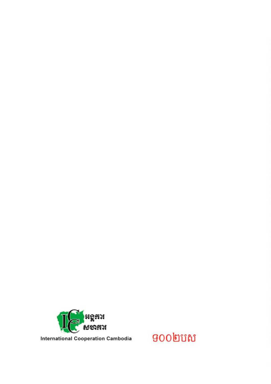